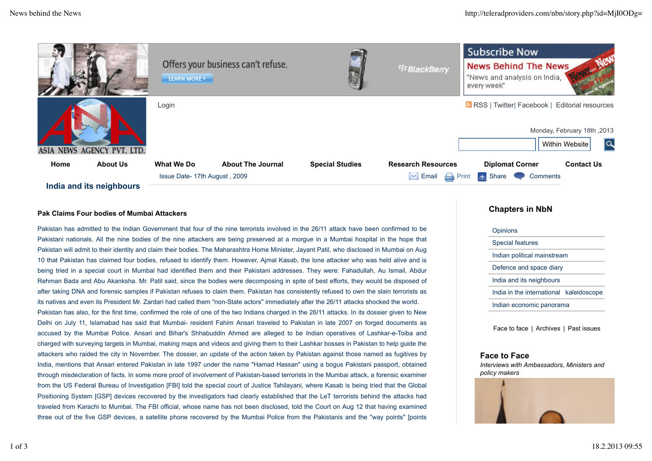

### **Pak Claims Four bodies of Mumbai Attackers**

Pakistan has admitted to the Indian Government that four of the nine terrorists involved in the 26/11 attack have been confirmed to be Pakistani nationals. All the nine bodies of the nine attackers are being preserved at a morgue in a Mumbai hospital in the hope that Pakistan will admit to their identity and claim their bodies. The Maharashtra Home Minister, Jayant Patil, who disclosed in Mumbai on Aug 10 that Pakistan has claimed four bodies, refused to identify them. However, Ajmal Kasab, the lone attacker who was held alive and is being tried in a special court in Mumbai had identified them and their Pakistani addresses. They were: Fahadullah, Au Ismail, Abdur Rehman Bada and Abu Akanksha. Mr. Patil said, since the bodies were decomposing in spite of best efforts, they would be disposed of after taking DNA and forensic samples if Pakistan refuses to claim them. Pakistan has consistently refused to own the slain terrorists as its natives and even its President Mr. Zardari had called them "non-State actors" immediately after the 26/11 attacks shocked the world. Pakistan has also, for the first time, confirmed the role of one of the two Indians charged in the 26/11 attacks. In its dossier given to New Delhi on July 11, Islamabad has said that Mumbai- resident Fahim Ansari traveled to Pakistan in late 2007 on forged documents as accused by the Mumbai Police. Ansari and Bihar's Shhabuddin Ahmed are alleged to be Indian operatives of Lashkar-e-Toiba and charged with surveying targets in Mumbai, making maps and videos and giving them to their Lashkar bosses in Pakistan to help guide the attackers who raided the city in November. The dossier, an update of the action taken by Pakistan against those named as fugitives by India, mentions that Ansari entered Pakistan in late 1997 under the name "Hamad Hassan" using a bogus Pakistani passport, obtained through misdeclaration of facts. In some more proof of involvement of Pakistan-based terrorists in the Mumbai attack, a forensic examiner from the US Federal Bureau of Investigation [FBI] told the special court of Justice Tahilayani, where Kasab is being tried that the Global Positioning System [GSP] devices recovered by the investigators had clearly established that the LeT terrorists behind the attacks had traveled from Karachi to Mumbai. The FBI official, whose name has not been disclosed, told the Court on Aug 12 that having examined three out of the five GSP devices, a satellite phone recovered by the Mumbai Police from the Pakistanis and the "way points" [points

## **Chapters in NbN**

| Opinions                                |
|-----------------------------------------|
| Special features                        |
| Indian political mainstream             |
| Defence and space diary                 |
| India and its neighbours                |
| India in the international kaleidoscope |
| Indian economic panorama                |
|                                         |

Face to face | Archives | Past issues

#### **Face to Face**

*Interviews with Ambassadors, Ministers and policy makers*

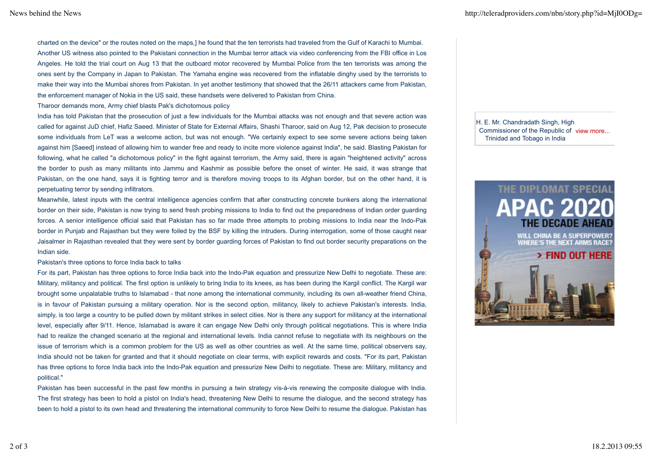charted on the device" or the routes noted on the maps,] he found that the ten terrorists had traveled from the Gulf of Karachi to Mumbai. Another US witness also pointed to the Pakistani connection in the Mumbai terror attack via video conferencing from the FBI office in Los Angeles. He told the trial court on Aug 13 that the outboard motor recovered by Mumbai Police from the ten terrorists was among the ones sent by the Company in Japan to Pakistan. The Yamaha engine was recovered from the inflatable dinghy used by the terrorists to make their way into the Mumbai shores from Pakistan. In yet another testimony that showed that the 26/11 attackers came from Pakistan, the enforcement manager of Nokia in the US said, these handsets were delivered to Pakistan from China.

Tharoor demands more, Army chief blasts Pak's dichotomous policy

India has told Pakistan that the prosecution of just a few individuals for the Mumbai attacks was not enough and that severe action was called for against JuD chief, Hafiz Saeed. Minister of State for External Affairs, Shashi Tharoor, said on Aug 12, Pak decision to prosecute some individuals from LeT was a welcome action, but was not enough. "We certainly expect to see some severe actions being taken against him [Saeed] instead of allowing him to wander free and ready to incite more violence against India", he said. Blasting Pakistan for following, what he called "a dichotomous policy" in the fight against terrorism, the Army said, there is again "heightened activity" across the border to push as many militants into Jammu and Kashmir as possible before the onset of winter. He said, it was strange that Pakistan, on the one hand, says it is fighting terror and is therefore moving troops to its Afghan border, but on the other hand, it is perpetuating terror by sending infiltrators.

Meanwhile, latest inputs with the central intelligence agencies confirm that after constructing concrete bunkers along the international border on their side, Pakistan is now trying to send fresh probing missions to India to find out the preparedness of Indian order guarding forces. A senior intelligence official said that Pakistan has so far made three attempts to probing missions to India near the Indo-Pak border in Punjab and Rajasthan but they were foiled by the BSF by killing the intruders. During interrogation, some of those caught near Jaisalmer in Rajasthan revealed that they were sent by border guarding forces of Pakistan to find out border security preparations on the Indian side.

Pakistan's three options to force India back to talks

For its part, Pakistan has three options to force India back into the Indo-Pak equation and pressurize New Delhi to negotiate. These are: Military, militancy and political. The first option is unlikely to bring India to its knees, as has been during the Kargil conflict. The Kargil war brought some unpalatable truths to Islamabad - that none among the international community, including its own all-weather friend China, is in favour of Pakistan pursuing a military operation. Nor is the second option, militancy, likely to achieve Pakistan's interests. India, simply, is too large a country to be pulled down by militant strikes in select cities. Nor is there any support for militancy at the international level, especially after 9/11. Hence, Islamabad is aware it can engage New Delhi only through political negotiations. This is where India had to realize the changed scenario at the regional and international levels. India cannot refuse to negotiate with its neighbours on the issue of terrorism which is a common problem for the US as well as other countries as well. At the same time, political observers say, India should not be taken for granted and that it should negotiate on clear terms, with explicit rewards and costs. "For its part, Pakistan has three options to force India back into the Indo-Pak equation and pressurize New Delhi to negotiate. These are: Military, militancy and political."

Pakistan has been successful in the past few months in pursuing a twin strategy vis-à-vis renewing the composite dialogue with India. The first strategy has been to hold a pistol on India's head, threatening New Delhi to resume the dialogue, and the second strategy has been to hold a pistol to its own head and threatening the international community to force New Delhi to resume the dialogue. Pakistan has

Commissioner of the Republic of view more... H. E. Mr. Chandradath Singh, High Trinidad and Tobago in India

# THE DIPLOMAT SPECIAL **APAC 202**

**WILL CHINA BE A SUPERPOWER? WHERE'S THE NEXT ARMS RACE?**